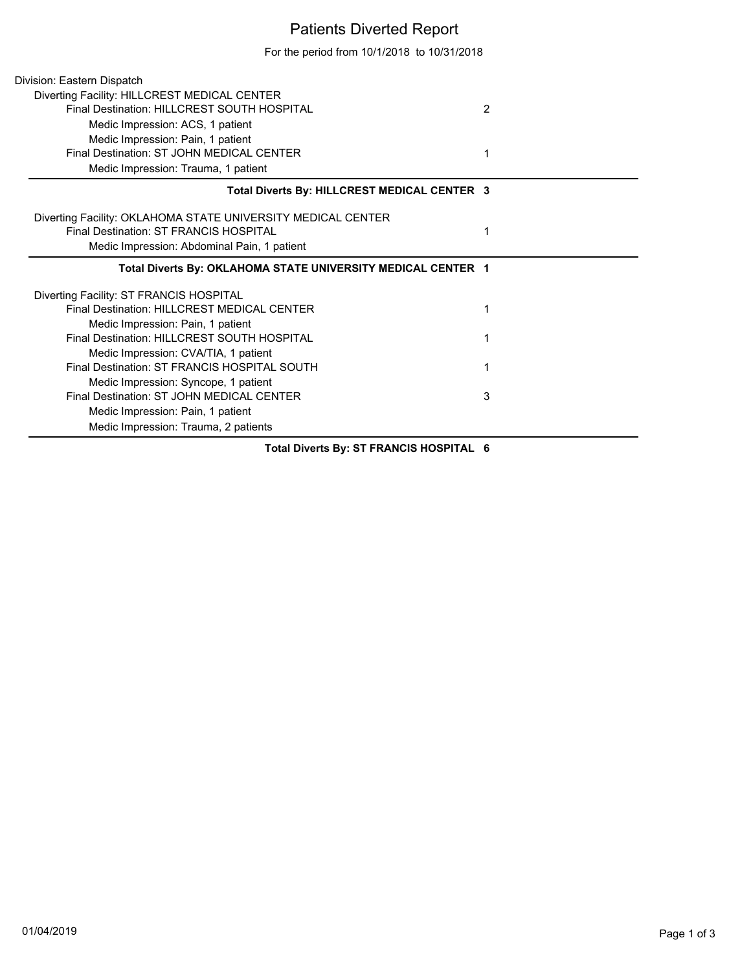## Patients Diverted Report

For the period from 10/1/2018 to 10/31/2018

| Division: Eastern Dispatch                                   |                |
|--------------------------------------------------------------|----------------|
| Diverting Facility: HILLCREST MEDICAL CENTER                 |                |
| Final Destination: HILLCREST SOUTH HOSPITAL                  | $\overline{2}$ |
| Medic Impression: ACS, 1 patient                             |                |
| Medic Impression: Pain, 1 patient                            |                |
| Final Destination: ST JOHN MEDICAL CENTER                    |                |
| Medic Impression: Trauma, 1 patient                          |                |
| Total Diverts By: HILLCREST MEDICAL CENTER 3                 |                |
| Diverting Facility: OKLAHOMA STATE UNIVERSITY MEDICAL CENTER |                |
| Final Destination: ST FRANCIS HOSPITAL                       |                |
| Medic Impression: Abdominal Pain, 1 patient                  |                |
| Total Diverts By: OKLAHOMA STATE UNIVERSITY MEDICAL CENTER 1 |                |
|                                                              |                |
| Diverting Facility: ST FRANCIS HOSPITAL                      |                |
| Final Destination: HILLCREST MEDICAL CENTER                  |                |
| Medic Impression: Pain, 1 patient                            |                |
| Final Destination: HILLCREST SOUTH HOSPITAL                  |                |
| Medic Impression: CVA/TIA, 1 patient                         |                |
| Final Destination: ST FRANCIS HOSPITAL SOUTH                 |                |
| Medic Impression: Syncope, 1 patient                         |                |
| Final Destination: ST JOHN MEDICAL CENTER                    | 3              |
| Medic Impression: Pain, 1 patient                            |                |

**Total Diverts By: ST FRANCIS HOSPITAL 6**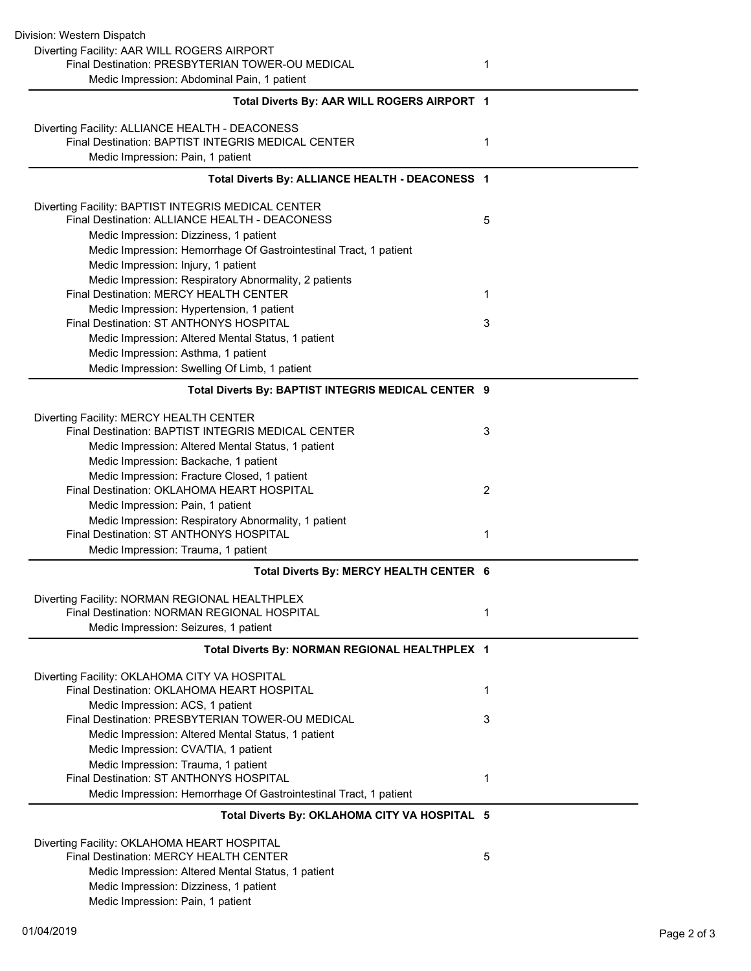| Division: Western Dispatch                                                                            |   |
|-------------------------------------------------------------------------------------------------------|---|
| Diverting Facility: AAR WILL ROGERS AIRPORT                                                           |   |
| Final Destination: PRESBYTERIAN TOWER-OU MEDICAL                                                      | 1 |
| Medic Impression: Abdominal Pain, 1 patient                                                           |   |
| Total Diverts By: AAR WILL ROGERS AIRPORT 1                                                           |   |
| Diverting Facility: ALLIANCE HEALTH - DEACONESS                                                       |   |
| Final Destination: BAPTIST INTEGRIS MEDICAL CENTER                                                    | 1 |
| Medic Impression: Pain, 1 patient                                                                     |   |
| Total Diverts By: ALLIANCE HEALTH - DEACONESS 1                                                       |   |
| Diverting Facility: BAPTIST INTEGRIS MEDICAL CENTER<br>Final Destination: ALLIANCE HEALTH - DEACONESS | 5 |
| Medic Impression: Dizziness, 1 patient                                                                |   |
| Medic Impression: Hemorrhage Of Gastrointestinal Tract, 1 patient                                     |   |
| Medic Impression: Injury, 1 patient                                                                   |   |
| Medic Impression: Respiratory Abnormality, 2 patients                                                 |   |
| Final Destination: MERCY HEALTH CENTER                                                                | 1 |
| Medic Impression: Hypertension, 1 patient                                                             |   |
| Final Destination: ST ANTHONYS HOSPITAL                                                               | 3 |
| Medic Impression: Altered Mental Status, 1 patient                                                    |   |
| Medic Impression: Asthma, 1 patient                                                                   |   |
| Medic Impression: Swelling Of Limb, 1 patient                                                         |   |
| Total Diverts By: BAPTIST INTEGRIS MEDICAL CENTER 9                                                   |   |
| Diverting Facility: MERCY HEALTH CENTER                                                               |   |
| Final Destination: BAPTIST INTEGRIS MEDICAL CENTER                                                    | 3 |
| Medic Impression: Altered Mental Status, 1 patient                                                    |   |
| Medic Impression: Backache, 1 patient                                                                 |   |
| Medic Impression: Fracture Closed, 1 patient                                                          |   |
| Final Destination: OKLAHOMA HEART HOSPITAL                                                            | 2 |
| Medic Impression: Pain, 1 patient<br>Medic Impression: Respiratory Abnormality, 1 patient             |   |
| Final Destination: ST ANTHONYS HOSPITAL                                                               | 1 |
| Medic Impression: Trauma, 1 patient                                                                   |   |
| Total Diverts By: MERCY HEALTH CENTER 6                                                               |   |
| Diverting Facility: NORMAN REGIONAL HEALTHPLEX                                                        |   |
| Final Destination: NORMAN REGIONAL HOSPITAL                                                           | 1 |
| Medic Impression: Seizures, 1 patient                                                                 |   |
| Total Diverts By: NORMAN REGIONAL HEALTHPLEX 1                                                        |   |
| Diverting Facility: OKLAHOMA CITY VA HOSPITAL                                                         |   |
| Final Destination: OKLAHOMA HEART HOSPITAL                                                            | 1 |
| Medic Impression: ACS, 1 patient                                                                      |   |
| Final Destination: PRESBYTERIAN TOWER-OU MEDICAL                                                      | 3 |
| Medic Impression: Altered Mental Status, 1 patient                                                    |   |
| Medic Impression: CVA/TIA, 1 patient                                                                  |   |
| Medic Impression: Trauma, 1 patient                                                                   |   |
| Final Destination: ST ANTHONYS HOSPITAL                                                               | 1 |
| Medic Impression: Hemorrhage Of Gastrointestinal Tract, 1 patient                                     |   |
| Total Diverts By: OKLAHOMA CITY VA HOSPITAL 5                                                         |   |
| Diverting Facility: OKLAHOMA HEART HOSPITAL                                                           |   |
| Final Destination: MERCY HEALTH CENTER                                                                | 5 |
| Medic Impression: Altered Mental Status, 1 patient                                                    |   |
| Medic Impression: Dizziness, 1 patient                                                                |   |
| Medic Impression: Pain, 1 patient                                                                     |   |